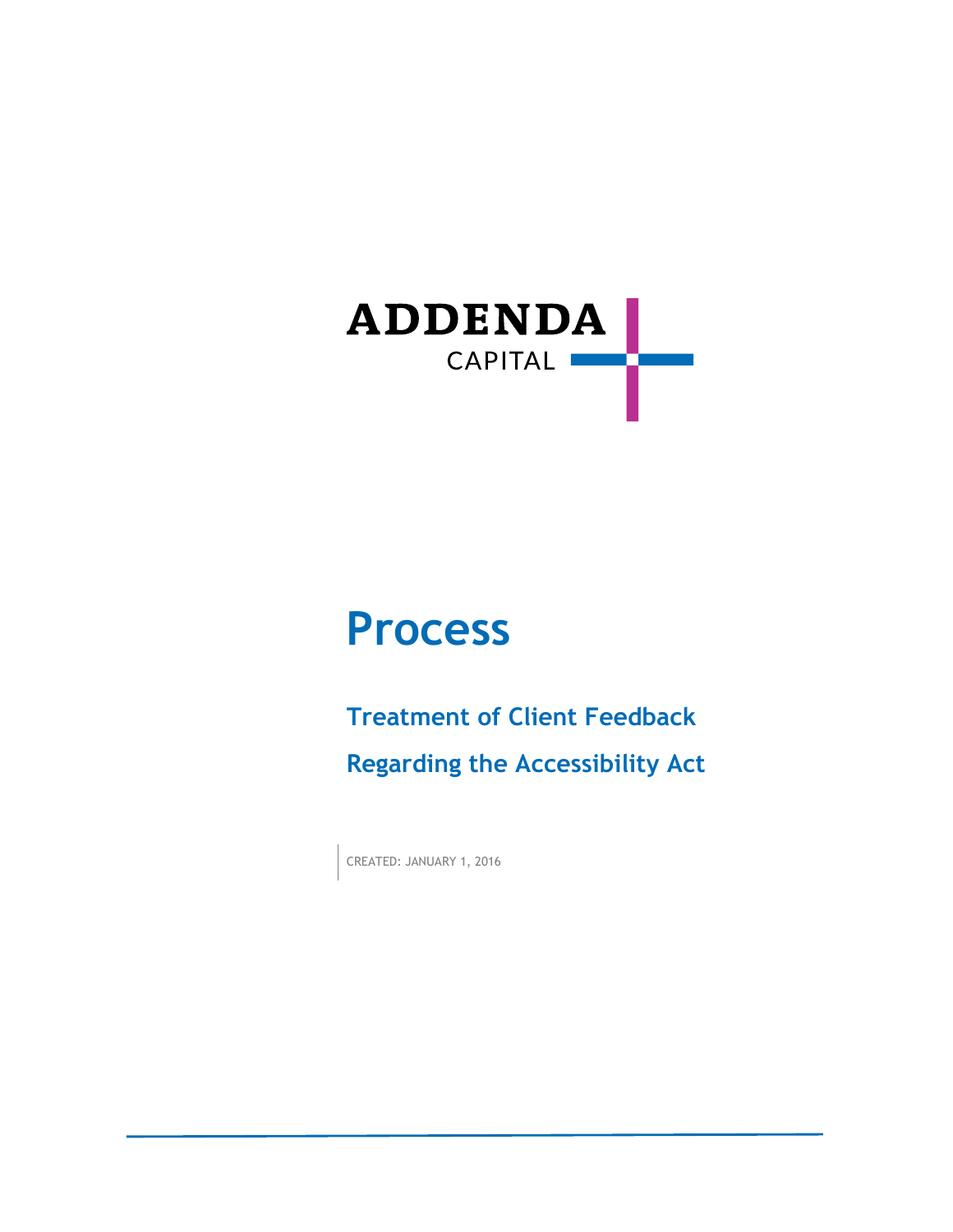

# **Process**

**Treatment of Client Feedback Regarding the Accessibility Act**

CREATED: JANUARY 1, 2016